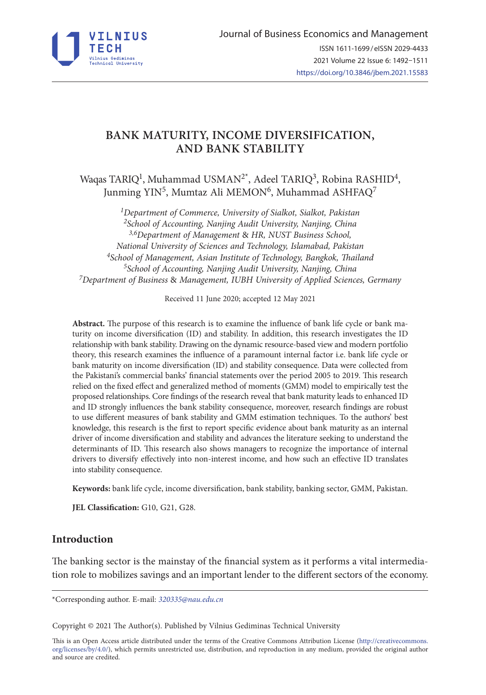

# **BANK MATURITY, INCOME DIVERSIFICATION, AND BANK STABILITY**

Waqas TARIQ<sup>1</sup>, Muhammad USMAN<sup>2\*</sup>, Adeel TARIQ<sup>3</sup>, Robina RASHID<sup>4</sup>, Junming YIN<sup>5</sup>, Mumtaz Ali MEMON<sup>6</sup>, Muhammad ASHFAQ<sup>7</sup>

*Department of Commerce, University of Sialkot, Sialkot, Pakistan School of Accounting, Nanjing Audit University, Nanjing, China 3,6Department of Management* & *HR, NUST Business School, National University of Sciences and Technology, Islamabad, Pakistan School of Management, Asian Institute of Technology, Bangkok, Thailand School of Accounting, Nanjing Audit University, Nanjing, China Department of Business* & *Management, IUBH University of Applied Sciences, Germany*

Received 11 June 2020; accepted 12 May 2021

**Abstract.** The purpose of this research is to examine the influence of bank life cycle or bank maturity on income diversification (ID) and stability. In addition, this research investigates the ID relationship with bank stability. Drawing on the dynamic resource-based view and modern portfolio theory, this research examines the influence of a paramount internal factor i.e. bank life cycle or bank maturity on income diversification (ID) and stability consequence. Data were collected from the Pakistani's commercial banks' financial statements over the period 2005 to 2019. This research relied on the fixed effect and generalized method of moments (GMM) model to empirically test the proposed relationships. Core findings of the research reveal that bank maturity leads to enhanced ID and ID strongly influences the bank stability consequence, moreover, research findings are robust to use different measures of bank stability and GMM estimation techniques. To the authors' best knowledge, this research is the first to report specific evidence about bank maturity as an internal driver of income diversification and stability and advances the literature seeking to understand the determinants of ID. This research also shows managers to recognize the importance of internal drivers to diversify effectively into non-interest income, and how such an effective ID translates into stability consequence.

**Keywords:** bank life cycle, income diversification, bank stability, banking sector, GMM, Pakistan.

**JEL Classification:** G10, G21, G28.

## **Introduction**

The banking sector is the mainstay of the financial system as it performs a vital intermediation role to mobilizes savings and an important lender to the different sectors of the economy.

\*Corresponding author. E-mail: *320335@nau.edu.cn*

Copyright © 2021 The Author(s). Published by Vilnius Gediminas Technical University

This is an Open Access article distributed under the terms of the Creative Commons Attribution License ([http://creativecommons.](http://creativecommons.org/licenses/by/4.0/) [org/licenses/by/4.0/\)](http://creativecommons.org/licenses/by/4.0/), which permits unrestricted use, distribution, and reproduction in any medium, provided the original author and source are credited.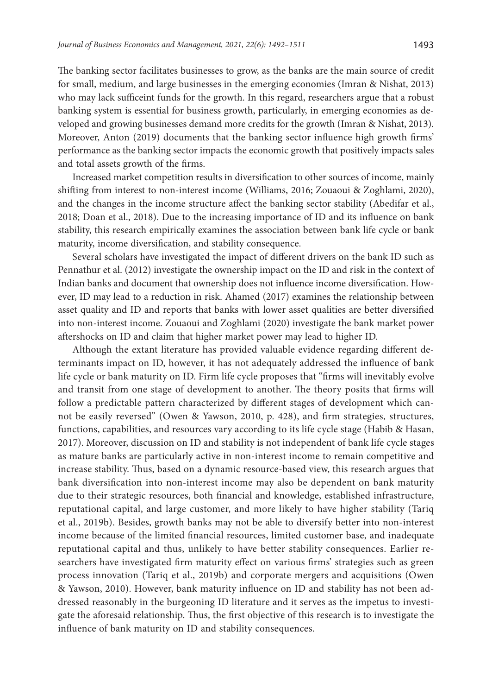The banking sector facilitates businesses to grow, as the banks are the main source of credit for small, medium, and large businesses in the emerging economies (Imran & Nishat, 2013) who may lack sufficeint funds for the growth. In this regard, researchers argue that a robust banking system is essential for business growth, particularly, in emerging economies as developed and growing businesses demand more credits for the growth (Imran & Nishat, 2013). Moreover, Anton (2019) documents that the banking sector influence high growth firms' performance as the banking sector impacts the economic growth that positively impacts sales and total assets growth of the firms.

Increased market competition results in diversification to other sources of income, mainly shifting from interest to non-interest income (Williams, 2016; Zouaoui & Zoghlami, 2020), and the changes in the income structure affect the banking sector stability (Abedifar et al., 2018; Doan et al., 2018). Due to the increasing importance of ID and its influence on bank stability, this research empirically examines the association between bank life cycle or bank maturity, income diversification, and stability consequence.

Several scholars have investigated the impact of different drivers on the bank ID such as Pennathur et al. (2012) investigate the ownership impact on the ID and risk in the context of Indian banks and document that ownership does not influence income diversification. However, ID may lead to a reduction in risk. Ahamed (2017) examines the relationship between asset quality and ID and reports that banks with lower asset qualities are better diversified into non-interest income. Zouaoui and Zoghlami (2020) investigate the bank market power aftershocks on ID and claim that higher market power may lead to higher ID.

Although the extant literature has provided valuable evidence regarding different determinants impact on ID, however, it has not adequately addressed the influence of bank life cycle or bank maturity on ID. Firm life cycle proposes that "firms will inevitably evolve and transit from one stage of development to another. The theory posits that firms will follow a predictable pattern characterized by different stages of development which cannot be easily reversed" (Owen & Yawson, 2010, p. 428), and firm strategies, structures, functions, capabilities, and resources vary according to its life cycle stage (Habib & Hasan, 2017). Moreover, discussion on ID and stability is not independent of bank life cycle stages as mature banks are particularly active in non-interest income to remain competitive and increase stability. Thus, based on a dynamic resource-based view, this research argues that bank diversification into non-interest income may also be dependent on bank maturity due to their strategic resources, both financial and knowledge, established infrastructure, reputational capital, and large customer, and more likely to have higher stability (Tariq et al., 2019b). Besides, growth banks may not be able to diversify better into non-interest income because of the limited financial resources, limited customer base, and inadequate reputational capital and thus, unlikely to have better stability consequences. Earlier researchers have investigated firm maturity effect on various firms' strategies such as green process innovation (Tariq et al., 2019b) and corporate mergers and acquisitions (Owen & Yawson, 2010). However, bank maturity influence on ID and stability has not been addressed reasonably in the burgeoning ID literature and it serves as the impetus to investigate the aforesaid relationship. Thus, the first objective of this research is to investigate the influence of bank maturity on ID and stability consequences.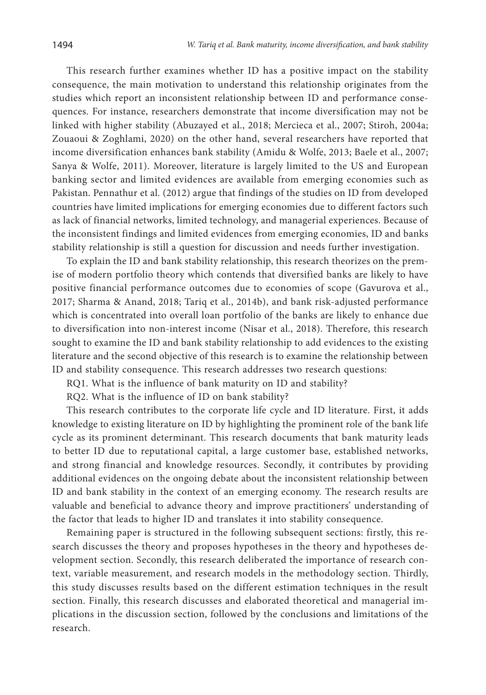This research further examines whether ID has a positive impact on the stability consequence, the main motivation to understand this relationship originates from the studies which report an inconsistent relationship between ID and performance consequences. For instance, researchers demonstrate that income diversification may not be linked with higher stability (Abuzayed et al., 2018; Mercieca et al., 2007; Stiroh, 2004a; Zouaoui & Zoghlami, 2020) on the other hand, several researchers have reported that income diversification enhances bank stability (Amidu & Wolfe, 2013; Baele et al., 2007; Sanya & Wolfe, 2011). Moreover, literature is largely limited to the US and European banking sector and limited evidences are available from emerging economies such as Pakistan. Pennathur et al. (2012) argue that findings of the studies on ID from developed countries have limited implications for emerging economies due to different factors such as lack of financial networks, limited technology, and managerial experiences. Because of the inconsistent findings and limited evidences from emerging economies, ID and banks stability relationship is still a question for discussion and needs further investigation.

To explain the ID and bank stability relationship, this research theorizes on the premise of modern portfolio theory which contends that diversified banks are likely to have positive financial performance outcomes due to economies of scope (Gavurova et al., 2017; Sharma & Anand, 2018; Tariq et al., 2014b), and bank risk-adjusted performance which is concentrated into overall loan portfolio of the banks are likely to enhance due to diversification into non-interest income (Nisar et al., 2018). Therefore, this research sought to examine the ID and bank stability relationship to add evidences to the existing literature and the second objective of this research is to examine the relationship between ID and stability consequence. This research addresses two research questions:

RQ1. What is the influence of bank maturity on ID and stability?

RQ2. What is the influence of ID on bank stability?

This research contributes to the corporate life cycle and ID literature. First, it adds knowledge to existing literature on ID by highlighting the prominent role of the bank life cycle as its prominent determinant. This research documents that bank maturity leads to better ID due to reputational capital, a large customer base, established networks, and strong financial and knowledge resources. Secondly, it contributes by providing additional evidences on the ongoing debate about the inconsistent relationship between ID and bank stability in the context of an emerging economy. The research results are valuable and beneficial to advance theory and improve practitioners' understanding of the factor that leads to higher ID and translates it into stability consequence.

Remaining paper is structured in the following subsequent sections: firstly, this research discusses the theory and proposes hypotheses in the theory and hypotheses development section. Secondly, this research deliberated the importance of research context, variable measurement, and research models in the methodology section. Thirdly, this study discusses results based on the different estimation techniques in the result section. Finally, this research discusses and elaborated theoretical and managerial implications in the discussion section, followed by the conclusions and limitations of the research.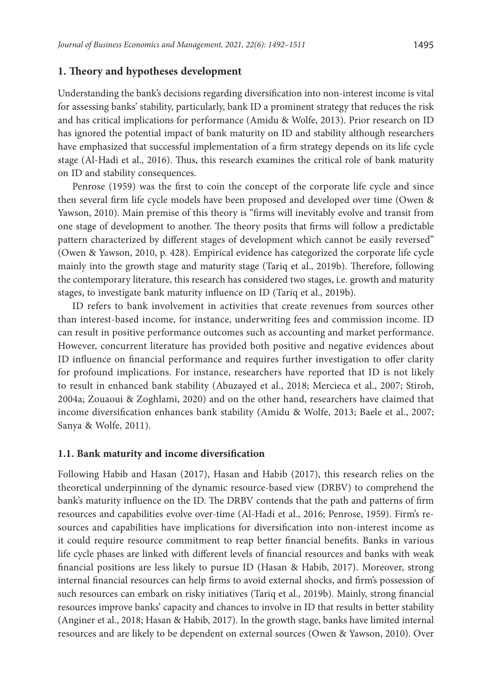#### **1. Theory and hypotheses development**

Understanding the bank's decisions regarding diversification into non-interest income is vital for assessing banks' stability, particularly, bank ID a prominent strategy that reduces the risk and has critical implications for performance (Amidu & Wolfe, 2013). Prior research on ID has ignored the potential impact of bank maturity on ID and stability although researchers have emphasized that successful implementation of a firm strategy depends on its life cycle stage (Al-Hadi et al., 2016). Thus, this research examines the critical role of bank maturity on ID and stability consequences.

Penrose (1959) was the first to coin the concept of the corporate life cycle and since then several firm life cycle models have been proposed and developed over time (Owen & Yawson, 2010). Main premise of this theory is "firms will inevitably evolve and transit from one stage of development to another. The theory posits that firms will follow a predictable pattern characterized by different stages of development which cannot be easily reversed" (Owen & Yawson, 2010, p. 428). Empirical evidence has categorized the corporate life cycle mainly into the growth stage and maturity stage (Tariq et al., 2019b). Therefore, following the contemporary literature, this research has considered two stages, i.e. growth and maturity stages, to investigate bank maturity influence on ID (Tariq et al., 2019b).

ID refers to bank involvement in activities that create revenues from sources other than interest-based income, for instance, underwriting fees and commission income. ID can result in positive performance outcomes such as accounting and market performance. However, concurrent literature has provided both positive and negative evidences about ID influence on financial performance and requires further investigation to offer clarity for profound implications. For instance, researchers have reported that ID is not likely to result in enhanced bank stability (Abuzayed et al., 2018; Mercieca et al., 2007; Stiroh, 2004a; Zouaoui & Zoghlami, 2020) and on the other hand, researchers have claimed that income diversification enhances bank stability (Amidu & Wolfe, 2013; Baele et al., 2007; Sanya & Wolfe, 2011).

#### **1.1. Bank maturity and income diversification**

Following Habib and Hasan (2017), Hasan and Habib (2017), this research relies on the theoretical underpinning of the dynamic resource-based view (DRBV) to comprehend the bank's maturity influence on the ID. The DRBV contends that the path and patterns of firm resources and capabilities evolve over-time (Al‐Hadi et al., 2016; Penrose, 1959). Firm's resources and capabilities have implications for diversification into non-interest income as it could require resource commitment to reap better financial benefits. Banks in various life cycle phases are linked with different levels of financial resources and banks with weak financial positions are less likely to pursue ID (Hasan & Habib, 2017). Moreover, strong internal financial resources can help firms to avoid external shocks, and firm's possession of such resources can embark on risky initiatives (Tariq et al., 2019b). Mainly, strong financial resources improve banks' capacity and chances to involve in ID that results in better stability (Anginer et al., 2018; Hasan & Habib, 2017). In the growth stage, banks have limited internal resources and are likely to be dependent on external sources (Owen & Yawson, 2010). Over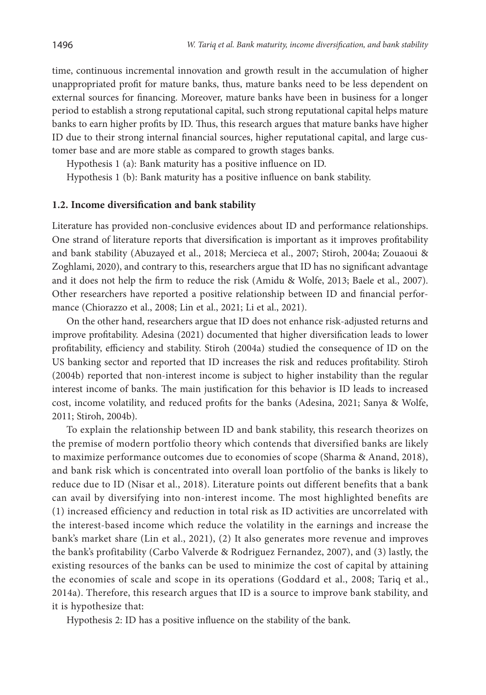time, continuous incremental innovation and growth result in the accumulation of higher unappropriated profit for mature banks, thus, mature banks need to be less dependent on external sources for financing. Moreover, mature banks have been in business for a longer period to establish a strong reputational capital, such strong reputational capital helps mature banks to earn higher profits by ID. Thus, this research argues that mature banks have higher ID due to their strong internal financial sources, higher reputational capital, and large customer base and are more stable as compared to growth stages banks.

Hypothesis 1 (a): Bank maturity has a positive influence on ID.

Hypothesis 1 (b): Bank maturity has a positive influence on bank stability.

#### **1.2. Income diversification and bank stability**

Literature has provided non-conclusive evidences about ID and performance relationships. One strand of literature reports that diversification is important as it improves profitability and bank stability (Abuzayed et al., 2018; Mercieca et al., 2007; Stiroh, 2004a; Zouaoui & Zoghlami, 2020), and contrary to this, researchers argue that ID has no significant advantage and it does not help the firm to reduce the risk (Amidu & Wolfe, 2013; Baele et al., 2007). Other researchers have reported a positive relationship between ID and financial performance (Chiorazzo et al., 2008; Lin et al., 2021; Li et al., 2021).

On the other hand, researchers argue that ID does not enhance risk-adjusted returns and improve profitability. Adesina (2021) documented that higher diversification leads to lower profitability, efficiency and stability. Stiroh (2004a) studied the consequence of ID on the US banking sector and reported that ID increases the risk and reduces profitability. Stiroh (2004b) reported that non-interest income is subject to higher instability than the regular interest income of banks. The main justification for this behavior is ID leads to increased cost, income volatility, and reduced profits for the banks (Adesina, 2021; Sanya & Wolfe, 2011; Stiroh, 2004b).

To explain the relationship between ID and bank stability, this research theorizes on the premise of modern portfolio theory which contends that diversified banks are likely to maximize performance outcomes due to economies of scope (Sharma & Anand, 2018), and bank risk which is concentrated into overall loan portfolio of the banks is likely to reduce due to ID (Nisar et al., 2018). Literature points out different benefits that a bank can avail by diversifying into non-interest income. The most highlighted benefits are (1) increased efficiency and reduction in total risk as ID activities are uncorrelated with the interest-based income which reduce the volatility in the earnings and increase the bank's market share (Lin et al., 2021), (2) It also generates more revenue and improves the bank's profitability (Carbo Valverde & Rodriguez Fernandez, 2007), and (3) lastly, the existing resources of the banks can be used to minimize the cost of capital by attaining the economies of scale and scope in its operations (Goddard et al., 2008; Tariq et al., 2014a). Therefore, this research argues that ID is a source to improve bank stability, and it is hypothesize that:

Hypothesis 2: ID has a positive influence on the stability of the bank.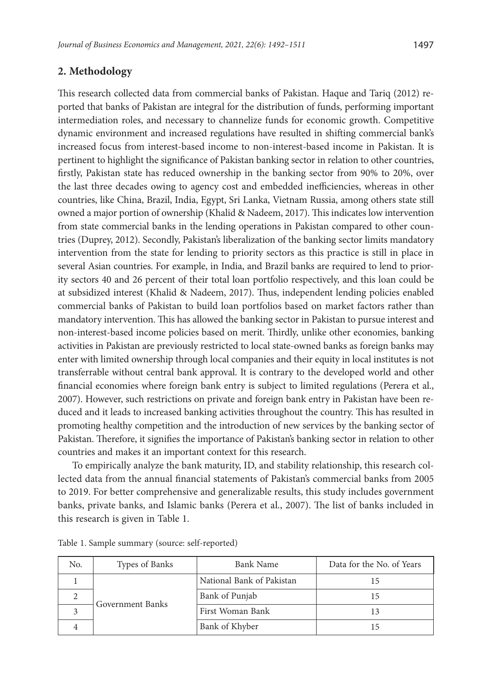### **2. Methodology**

This research collected data from commercial banks of Pakistan. Haque and Tariq (2012) reported that banks of Pakistan are integral for the distribution of funds, performing important intermediation roles, and necessary to channelize funds for economic growth. Competitive dynamic environment and increased regulations have resulted in shifting commercial bank's increased focus from interest-based income to non-interest-based income in Pakistan. It is pertinent to highlight the significance of Pakistan banking sector in relation to other countries, firstly, Pakistan state has reduced ownership in the banking sector from 90% to 20%, over the last three decades owing to agency cost and embedded inefficiencies, whereas in other countries, like China, Brazil, India, Egypt, Sri Lanka, Vietnam Russia, among others state still owned a major portion of ownership (Khalid & Nadeem, 2017). This indicates low intervention from state commercial banks in the lending operations in Pakistan compared to other countries (Duprey, 2012). Secondly, Pakistan's liberalization of the banking sector limits mandatory intervention from the state for lending to priority sectors as this practice is still in place in several Asian countries. For example, in India, and Brazil banks are required to lend to priority sectors 40 and 26 percent of their total loan portfolio respectively, and this loan could be at subsidized interest (Khalid & Nadeem, 2017). Thus, independent lending policies enabled commercial banks of Pakistan to build loan portfolios based on market factors rather than mandatory intervention. This has allowed the banking sector in Pakistan to pursue interest and non-interest-based income policies based on merit. Thirdly, unlike other economies, banking activities in Pakistan are previously restricted to local state-owned banks as foreign banks may enter with limited ownership through local companies and their equity in local institutes is not transferrable without central bank approval. It is contrary to the developed world and other financial economies where foreign bank entry is subject to limited regulations (Perera et al., 2007). However, such restrictions on private and foreign bank entry in Pakistan have been reduced and it leads to increased banking activities throughout the country. This has resulted in promoting healthy competition and the introduction of new services by the banking sector of Pakistan. Therefore, it signifies the importance of Pakistan's banking sector in relation to other countries and makes it an important context for this research.

To empirically analyze the bank maturity, ID, and stability relationship, this research collected data from the annual financial statements of Pakistan's commercial banks from 2005 to 2019. For better comprehensive and generalizable results, this study includes government banks, private banks, and Islamic banks (Perera et al., 2007). The list of banks included in this research is given in Table 1.

| No. | Types of Banks   | <b>Bank Name</b>          | Data for the No. of Years |
|-----|------------------|---------------------------|---------------------------|
|     |                  | National Bank of Pakistan |                           |
|     | Government Banks | Bank of Punjab            |                           |
|     |                  | First Woman Bank          |                           |
|     |                  | Bank of Khyber            |                           |

Table 1. Sample summary (source: self-reported)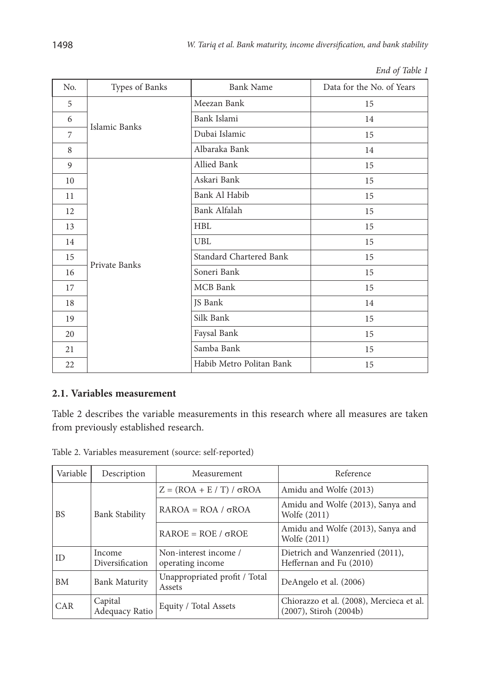| No.            | Types of Banks | <b>Bank Name</b>         | Data for the No. of Years |
|----------------|----------------|--------------------------|---------------------------|
| 5              |                | Meezan Bank              | 15                        |
| 6              | Islamic Banks  | Bank Islami              | 14                        |
| $\overline{7}$ |                | Dubai Islamic            | 15                        |
| 8              |                | Albaraka Bank            | 14                        |
| 9              |                | Allied Bank              | 15                        |
| 10             |                | Askari Bank              | 15                        |
| 11             |                | Bank Al Habib            | 15                        |
| 12             |                | Bank Alfalah             | 15                        |
| 13             |                | <b>HBL</b>               | 15                        |
| 14             |                | UBL                      | 15                        |
| 15             | Private Banks  | Standard Chartered Bank  | 15                        |
| 16             |                | Soneri Bank              | 15                        |
| 17             |                | <b>MCB</b> Bank          | 15                        |
| 18             |                | JS Bank                  | 14                        |
| 19             |                | Silk Bank                | 15                        |
| 20             |                | Faysal Bank              | 15                        |
| 21             |                | Samba Bank               | 15                        |
| 22             |                | Habib Metro Politan Bank | 15                        |

*End of Table 1*

## **2.1. Variables measurement**

Table 2 describes the variable measurements in this research where all measures are taken from previously established research.

| Table 2. Variables measurement (source: self-reported) |  |
|--------------------------------------------------------|--|
|--------------------------------------------------------|--|

| Variable   | Description               | Measurement                               | Reference                                                               |
|------------|---------------------------|-------------------------------------------|-------------------------------------------------------------------------|
|            |                           | $Z = (ROA + E / T) / \sigma ROA$          | Amidu and Wolfe (2013)                                                  |
| <b>BS</b>  | <b>Bank Stability</b>     | $RAROA = ROA / \sigma ROA$                | Amidu and Wolfe (2013), Sanya and<br>Wolfe (2011)                       |
|            |                           | $RAROE = ROE / \sigma ROE$                | Amidu and Wolfe (2013), Sanya and<br>Wolfe (2011)                       |
| ID         | Income<br>Diversification | Non-interest income /<br>operating income | Dietrich and Wanzenried (2011),<br>Heffernan and Fu (2010)              |
| <b>BM</b>  | <b>Bank Maturity</b>      | Unappropriated profit / Total<br>Assets   | DeAngelo et al. (2006)                                                  |
| <b>CAR</b> | Capital<br>Adequacy Ratio | Equity / Total Assets                     | Chiorazzo et al. (2008), Mercieca et al.<br>$(2007)$ , Stiroh $(2004b)$ |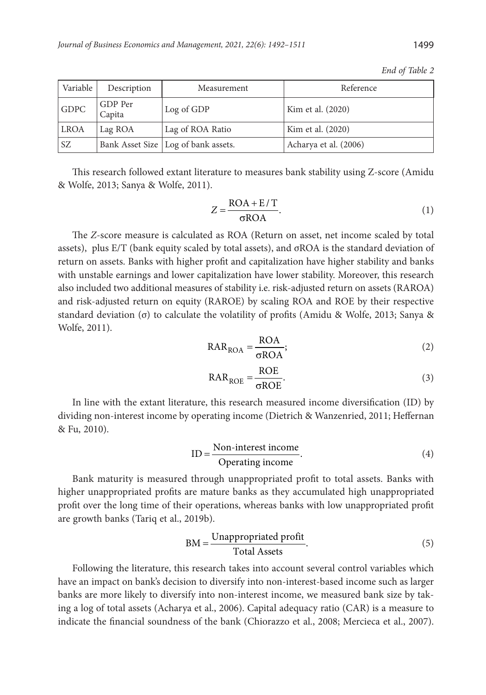| Variable | Description       | Measurement                           | Reference             |
|----------|-------------------|---------------------------------------|-----------------------|
| GDPC     | GDP Per<br>Capita | Log of GDP                            | Kim et al. (2020)     |
| LROA     | Lag ROA           | Lag of ROA Ratio                      | Kim et al. (2020)     |
| l sz     |                   | Bank Asset Size   Log of bank assets. | Acharya et al. (2006) |

This research followed extant literature to measures bank stability using Z-score (Amidu & Wolfe, 2013; Sanya & Wolfe, 2011).

$$
Z = \frac{\text{ROA} + \text{E}/\text{T}}{\sigma \text{ROA}}.
$$
 (1)

The *Z*-score measure is calculated as ROA (Return on asset, net income scaled by total assets), plus E/T (bank equity scaled by total assets), and σROA is the standard deviation of return on assets. Banks with higher profit and capitalization have higher stability and banks with unstable earnings and lower capitalization have lower stability. Moreover, this research also included two additional measures of stability i.e. risk-adjusted return on assets (RAROA) and risk-adjusted return on equity (RAROE) by scaling ROA and ROE by their respective standard deviation (σ) to calculate the volatility of profits (Amidu & Wolfe, 2013; Sanya & Wolfe, 2011).

$$
RAR_{\rm{ROA}} = \frac{\rm{ROA}}{\sigma \rm{ROA}};
$$
 (2)

$$
RAR_{ROE} = \frac{ROE}{\sigma ROE}.
$$
 (3)

In line with the extant literature, this research measured income diversification (ID) by dividing non-interest income by operating income (Dietrich & Wanzenried, 2011; Heffernan & Fu, 2010).

$$
ID = \frac{Non-interest income}{Operating income}.
$$
\n(4)

Bank maturity is measured through unappropriated profit to total assets. Banks with higher unappropriated profits are mature banks as they accumulated high unappropriated profit over the long time of their operations, whereas banks with low unappropriated profit are growth banks (Tariq et al., 2019b).

$$
BM = \frac{Unappropriate profit}{Total Assets}.
$$
 (5)

Following the literature, this research takes into account several control variables which have an impact on bank's decision to diversify into non-interest-based income such as larger banks are more likely to diversify into non-interest income, we measured bank size by taking a log of total assets (Acharya et al., 2006). Capital adequacy ratio (CAR) is a measure to indicate the financial soundness of the bank (Chiorazzo et al., 2008; Mercieca et al., 2007).

*End of Table 2*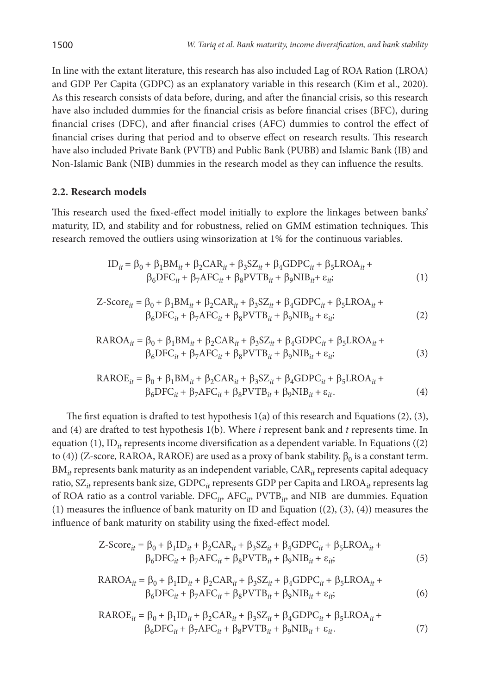In line with the extant literature, this research has also included Lag of ROA Ration (LROA) and GDP Per Capita (GDPC) as an explanatory variable in this research (Kim et al., 2020). As this research consists of data before, during, and after the financial crisis, so this research have also included dummies for the financial crisis as before financial crises (BFC), during financial crises (DFC), and after financial crises (AFC) dummies to control the effect of financial crises during that period and to observe effect on research results. This research have also included Private Bank (PVTB) and Public Bank (PUBB) and Islamic Bank (IB) and Non-Islamic Bank (NIB) dummies in the research model as they can influence the results.

### **2.2. Research models**

This research used the fixed-effect model initially to explore the linkages between banks' maturity, ID, and stability and for robustness, relied on GMM estimation techniques. This research removed the outliers using winsorization at 1% for the continuous variables.

$$
ID_{it} = \beta_0 + \beta_1 BM_{it} + \beta_2 CAR_{it} + \beta_3 SZ_{it} + \beta_4 GDPC_{it} + \beta_5 LROA_{it} + \beta_6 DFC_{it} + \beta_7 AFC_{it} + \beta_8 PVTB_{it} + \beta_9 NIB_{it} + \varepsilon_{it};
$$
\n(1)

$$
\text{Z-Score}_{it} = \beta_0 + \beta_1 \text{BM}_{it} + \beta_2 \text{CAR}_{it} + \beta_3 \text{SZ}_{it} + \beta_4 \text{GDPC}_{it} + \beta_5 \text{LROA}_{it} + \beta_6 \text{DFC}_{it} + \beta_7 \text{AFC}_{it} + \beta_8 \text{PVTB}_{it} + \beta_9 \text{NIB}_{it} + \varepsilon_{it};
$$
\n
$$
(2)
$$

$$
RAROAit = \beta_0 + \beta_1 BMit + \beta_2 CARit + \beta_3 SZit + \beta_4 GDPCit + \beta_5 LROAit + \n\beta_6 DFCit + \beta_7 AFCit + \beta_8 PVTBit + \beta_9 NIBit + \varepsilon_{it};
$$
\n(3)

$$
RAROEit = \beta_0 + \beta_1 BMit + \beta_2 CARit + \beta_3 SZit + \beta_4 GDPCit + \beta_5 LROAit + \beta_6 DFCit + \beta_7 AFCit + \beta_8 PVTBit + \beta_9 NIBit + \varepsilon_{it}
$$
 (4)

The first equation is drafted to test hypothesis  $1(a)$  of this research and Equations  $(2)$ ,  $(3)$ , and (4) are drafted to test hypothesis 1(b). Where *i* represent bank and *t* represents time. In equation (1), ID<sub>*it*</sub> represents income diversification as a dependent variable. In Equations ((2) to (4)) (Z-score, RAROA, RAROE) are used as a proxy of bank stability.  $\beta_0$  is a constant term. BM<sub>it</sub> represents bank maturity as an independent variable, CAR<sub>it</sub> represents capital adequacy ratio, SZ*it* represents bank size, GDPC*it* represents GDP per Capita and LROA*it* represents lag of ROA ratio as a control variable. DFC<sub>ip</sub>, AFC<sub>ip</sub>, PVTB<sub>ip</sub> and NIB are dummies. Equation (1) measures the influence of bank maturity on ID and Equation  $((2), (3), (4))$  measures the influence of bank maturity on stability using the fixed-effect model.

$$
\text{Z-Score}_{it} = \beta_0 + \beta_1 \text{ID}_{it} + \beta_2 \text{CAR}_{it} + \beta_3 \text{SZ}_{it} + \beta_4 \text{GDPC}_{it} + \beta_5 \text{LROA}_{it} + \beta_6 \text{DFC}_{it} + \beta_7 \text{AFC}_{it} + \beta_8 \text{PVTB}_{it} + \beta_9 \text{NIB}_{it} + \varepsilon_{it};
$$
\n(5)

$$
RAROA_{it} = \beta_0 + \beta_1 ID_{it} + \beta_2 CAR_{it} + \beta_3 SZ_{it} + \beta_4 GDPC_{it} + \beta_5 LROA_{it} + \beta_6 DFC_{it} + \beta_7 AFC_{it} + \beta_8 PVTB_{it} + \beta_9 NIB_{it} + \varepsilon_{it};
$$
\n(6)

$$
RAROE_{it} = \beta_0 + \beta_1 ID_{it} + \beta_2 CAR_{it} + \beta_3 SZ_{it} + \beta_4 GDPC_{it} + \beta_5 LROA_{it} + \beta_6 DFC_{it} + \beta_7 AFC_{it} + \beta_8 PVTB_{it} + \beta_9 NIB_{it} + \varepsilon_{it}.
$$
\n(7)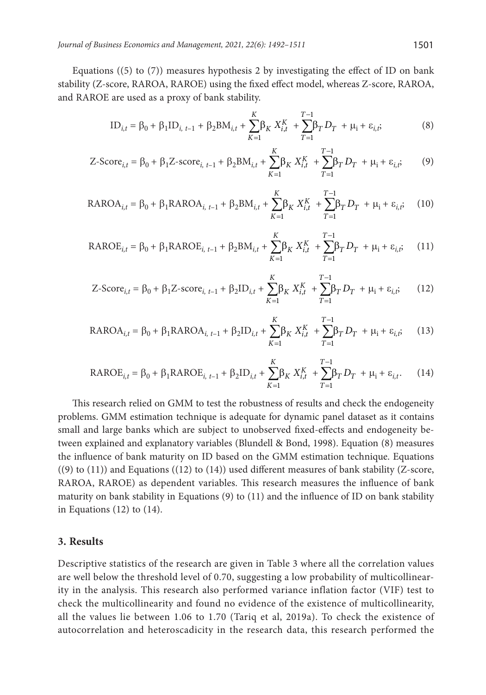Equations  $(5)$  to  $(7)$ ) measures hypothesis 2 by investigating the effect of ID on bank stability (Z-score, RAROA, RAROE) using the fixed effect model, whereas Z-score, RAROA, and RAROE are used as a proxy of bank stability.

$$
ID_{i,t} = \beta_0 + \beta_1 ID_{i, t-1} + \beta_2 BM_{i,t} + \sum_{K=1}^{K} \beta_K X_{i,t}^{K} + \sum_{T=1}^{T-1} \beta_T D_T + \mu_i + \varepsilon_{i,t}
$$
 (8)

$$
\text{Z-Score}_{i,t} = \beta_0 + \beta_1 \text{Z-score}_{i,t-1} + \beta_2 \text{BM}_{i,t} + \sum_{K=1}^{K} \beta_K X_{i,t}^{K} + \sum_{T=1}^{T-1} \beta_T D_T + \mu_i + \varepsilon_{i,t}, \tag{9}
$$

$$
RAROA_{i,t} = \beta_0 + \beta_1 RAROA_{i,t-1} + \beta_2 BM_{i,t} + \sum_{K=1}^{K} \beta_K X_{i,t}^{K} + \sum_{T=1}^{T-1} \beta_T D_T + \mu_i + \varepsilon_{i,t} \tag{10}
$$

$$
RAROE_{i,t} = \beta_0 + \beta_1 RAROE_{i, t-1} + \beta_2 BM_{i,t} + \sum_{K=1}^{K} \beta_K X_{i,t}^{K} + \sum_{T=1}^{T-1} \beta_T D_T + \mu_i + \varepsilon_{i,t};
$$
 (11)

$$
\text{Z-Score}_{i,t} = \beta_0 + \beta_1 \text{Z-score}_{i,t-1} + \beta_2 \text{ID}_{i,t} + \sum_{K=1}^{K} \beta_K X_{i,t}^K + \sum_{T=1}^{T-1} \beta_T D_T + \mu_i + \varepsilon_{i,t},\tag{12}
$$

$$
RAROA_{i,t} = \beta_0 + \beta_1 RAROA_{i, t-1} + \beta_2 ID_{i,t} + \sum_{K=1}^{K} \beta_K X_{i,t}^{K} + \sum_{T=1}^{T-1} \beta_T D_T + \mu_i + \varepsilon_{i,t} \tag{13}
$$

$$
RAROE_{i,t} = \beta_0 + \beta_1 RAROE_{i,t-1} + \beta_2 ID_{i,t} + \sum_{K=1}^{K} \beta_K X_{i,t}^{K} + \sum_{T=1}^{T-1} \beta_T D_T + \mu_i + \varepsilon_{i,t}.
$$
 (14)

This research relied on GMM to test the robustness of results and check the endogeneity problems. GMM estimation technique is adequate for dynamic panel dataset as it contains small and large banks which are subject to unobserved fixed-effects and endogeneity between explained and explanatory variables (Blundell & Bond, 1998). Equation (8) measures the influence of bank maturity on ID based on the GMM estimation technique. Equations  $(9)$  to  $(11)$ ) and Equations  $(12)$  to  $(14)$ ) used different measures of bank stability (Z-score, RAROA, RAROE) as dependent variables. This research measures the influence of bank maturity on bank stability in Equations (9) to (11) and the influence of ID on bank stability in Equations  $(12)$  to  $(14)$ .

#### **3. Results**

Descriptive statistics of the research are given in Table 3 where all the correlation values are well below the threshold level of 0.70, suggesting a low probability of multicollinearity in the analysis. This research also performed variance inflation factor (VIF) test to check the multicollinearity and found no evidence of the existence of multicollinearity, all the values lie between 1.06 to 1.70 (Tariq et al, 2019a). To check the existence of autocorrelation and heteroscadicity in the research data, this research performed the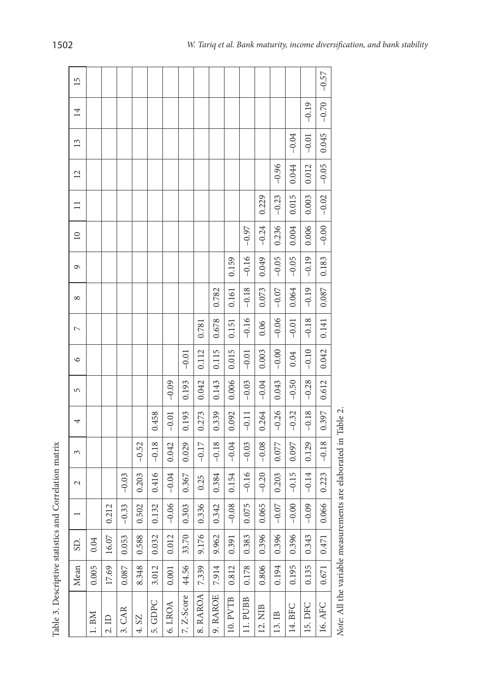| ۱      |
|--------|
| ı<br>ţ |
| i      |
| ï      |
| ۱      |
|        |

| Table 3. Descriptive statistics |       |       |         | and Correlation matrix            |         |         |         |         |                |            |         |                 |              |                |               |                 |         |
|---------------------------------|-------|-------|---------|-----------------------------------|---------|---------|---------|---------|----------------|------------|---------|-----------------|--------------|----------------|---------------|-----------------|---------|
|                                 | Mean  | SD.   |         | $\sim$                            | 3       | 4       | 5       | $\circ$ | $\overline{ }$ | $^{\circ}$ | G       | $\overline{10}$ | $\mathbf{1}$ | $\overline{c}$ | $\frac{3}{2}$ | $\overline{14}$ | 15      |
| 1. B <sub>M</sub>               | 0.005 | 0.04  |         |                                   |         |         |         |         |                |            |         |                 |              |                |               |                 |         |
| 2.1D                            | 17.69 | 16.07 | 0.212   |                                   |         |         |         |         |                |            |         |                 |              |                |               |                 |         |
| 3. CAR                          | 0.087 | 0.053 | $-0.33$ | $-0.03$                           |         |         |         |         |                |            |         |                 |              |                |               |                 |         |
| 4. SZ                           | 8.348 | 0.588 | 0.502   | 0.203                             | $-0.52$ |         |         |         |                |            |         |                 |              |                |               |                 |         |
| 5. GDPC                         | 3.012 | 0.032 | 0.132   | 0.416                             | $-0.18$ | 0.458   |         |         |                |            |         |                 |              |                |               |                 |         |
| 6. LROA                         | 0.001 | 0.012 | $-0.06$ | $-0.04$                           | 0.042   | $-0.01$ | $-0.09$ |         |                |            |         |                 |              |                |               |                 |         |
| 7. Z-Score                      | 44.56 | 33.70 | 0.303   | 0.367                             | 0.029   | 0.193   | 0.193   | $-0.01$ |                |            |         |                 |              |                |               |                 |         |
| 8. RAROA                        | 7.339 | 9.176 | 0.336   | 0.25                              | $-0.17$ | 0.273   | 0.042   | 0.112   | 0.781          |            |         |                 |              |                |               |                 |         |
| 9. RAROE                        | 7.914 | 9.962 | 0.342   | 0.384                             | $-0.18$ | 0.339   | 0.143   | 0.115   | 0.678          | 0.782      |         |                 |              |                |               |                 |         |
| 10. PVTB                        | 0.812 | 0.391 | $-0.08$ | 0.154                             | $-0.04$ | 0.092   | 0.006   | 0.015   | 0.151          | 0.161      | 0.159   |                 |              |                |               |                 |         |
| 11. PUBB                        | 0.178 | 0.383 | 0.075   | $-0.16$                           | $-0.03$ | $-0.11$ | $-0.03$ | $-0.01$ | $-0.16$        | $-0.18$    | $-0.16$ | $-0.97$         |              |                |               |                 |         |
| 12. NIB                         | 0.806 | 0.396 | 0.065   | $-0.20$                           | $-0.08$ | 0.264   | $-0.04$ | 0.003   | 0.06           | 0.073      | 0.049   | $-0.24$         | 0.229        |                |               |                 |         |
| $\mathbb{B}$<br>13.             | 0.194 | 0.396 | $-0.07$ | 0.203                             | 0.077   | $-0.26$ | 0.043   | $-0.00$ | $-0.06$        | $-0.07$    | $-0.05$ | 0.236           | $-0.23$      | $-0.96$        |               |                 |         |
| <b>BFC</b><br>14.               | 0.195 | 0.396 | $-0.00$ | $-0.15$                           | 0.097   | $-0.32$ | $-0.50$ | 0.04    | $-0.01$        | 0.064      | $-0.05$ | 0.004           | 0.015        | 0.044          | $-0.04$       |                 |         |
| DFC<br>15.                      | 0.135 | 0.343 | $-0.09$ | $-0.14$                           | 0.129   | $-0.18$ | $-0.28$ | $-0.10$ | $-0.18$        | $-0.19$    | $-0.19$ | 0.006           | 0.003        | 0.012          | $-0.01$       | $-0.19$         |         |
| 16. AFC                         | 0.671 | 0.471 | 0.066   | 0.223                             | $-0.18$ | 0.397   | 0.612   | 0.042   | 0.141          | 0.087      | 0.183   | $-0.00$         | $-0.02$      | $-0.05$        | 0.045         | $-0.70$         | $-0.57$ |
| Note: All the variable measu    |       |       |         | rements are elaborated in Table 2 |         |         |         |         |                |            |         |                 |              |                |               |                 |         |

T

T Ī T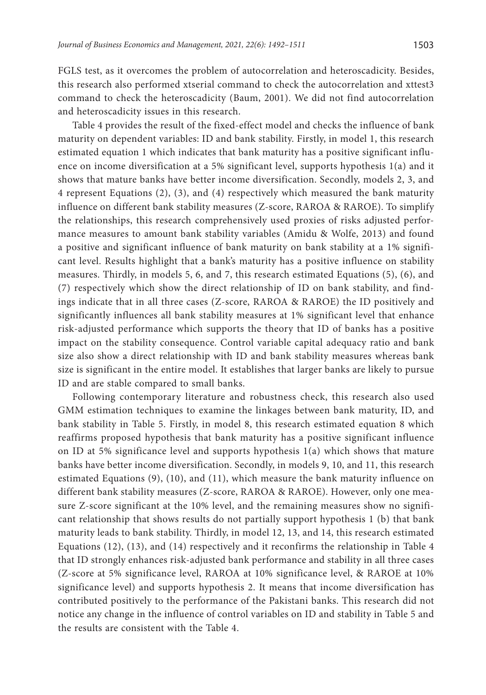FGLS test, as it overcomes the problem of autocorrelation and heteroscadicity. Besides, this research also performed xtserial command to check the autocorrelation and xttest3 command to check the heteroscadicity (Baum, 2001). We did not find autocorrelation and heteroscadicity issues in this research.

Table 4 provides the result of the fixed-effect model and checks the influence of bank maturity on dependent variables: ID and bank stability. Firstly, in model 1, this research estimated equation 1 which indicates that bank maturity has a positive significant influence on income diversification at a 5% significant level, supports hypothesis 1(a) and it shows that mature banks have better income diversification. Secondly, models 2, 3, and 4 represent Equations (2), (3), and (4) respectively which measured the bank maturity influence on different bank stability measures (Z-score, RAROA & RAROE). To simplify the relationships, this research comprehensively used proxies of risks adjusted performance measures to amount bank stability variables (Amidu & Wolfe, 2013) and found a positive and significant influence of bank maturity on bank stability at a 1% significant level. Results highlight that a bank's maturity has a positive influence on stability measures. Thirdly, in models 5, 6, and 7, this research estimated Equations (5), (6), and (7) respectively which show the direct relationship of ID on bank stability, and findings indicate that in all three cases (Z-score, RAROA & RAROE) the ID positively and significantly influences all bank stability measures at 1% significant level that enhance risk-adjusted performance which supports the theory that ID of banks has a positive impact on the stability consequence. Control variable capital adequacy ratio and bank size also show a direct relationship with ID and bank stability measures whereas bank size is significant in the entire model. It establishes that larger banks are likely to pursue ID and are stable compared to small banks.

Following contemporary literature and robustness check, this research also used GMM estimation techniques to examine the linkages between bank maturity, ID, and bank stability in Table 5. Firstly, in model 8, this research estimated equation 8 which reaffirms proposed hypothesis that bank maturity has a positive significant influence on ID at 5% significance level and supports hypothesis 1(a) which shows that mature banks have better income diversification. Secondly, in models 9, 10, and 11, this research estimated Equations (9), (10), and (11), which measure the bank maturity influence on different bank stability measures (Z-score, RAROA & RAROE). However, only one measure Z-score significant at the 10% level, and the remaining measures show no significant relationship that shows results do not partially support hypothesis 1 (b) that bank maturity leads to bank stability. Thirdly, in model 12, 13, and 14, this research estimated Equations (12), (13), and (14) respectively and it reconfirms the relationship in Table 4 that ID strongly enhances risk-adjusted bank performance and stability in all three cases (Z-score at 5% significance level, RAROA at 10% significance level, & RAROE at 10% significance level) and supports hypothesis 2. It means that income diversification has contributed positively to the performance of the Pakistani banks. This research did not notice any change in the influence of control variables on ID and stability in Table 5 and the results are consistent with the Table 4.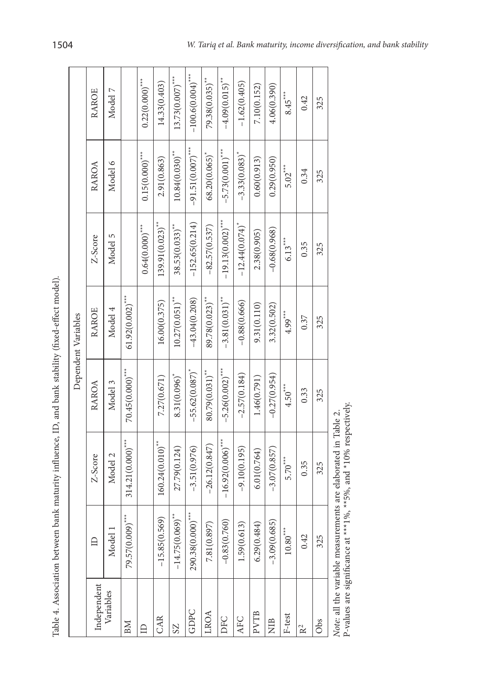| Table 4. Association between |                     | bank maturity influence, ID, and bank stability (fixed-effect model). |                            |                              |                               |                              |                              |
|------------------------------|---------------------|-----------------------------------------------------------------------|----------------------------|------------------------------|-------------------------------|------------------------------|------------------------------|
|                              |                     |                                                                       |                            | Dependent Variables          |                               |                              |                              |
| Independent                  |                     | Z-Score                                                               | RAROA                      | <b>RAROE</b>                 | Z-Score                       | RAROA                        | <b>RAROE</b>                 |
| Variables                    | Model               | Model 2                                                               | Model 3                    | Model 4                      | Model 5                       | Model 6                      | Model 7                      |
| BМ                           | 79.57(0.009)***     | $314.21(0.000)$ ***                                                   | $70.45(0.000)$ ***         | $61.92(0.002)$ ***           |                               |                              |                              |
| ≘                            |                     |                                                                       |                            |                              | $0.64(0.000)$ ***             | $0.15(0.000)$ ***            | $0.22(0.000)$ ***            |
| CAR                          | $-15.85(0.569)$     | $160.24(0.010)$ **                                                    | 7.27(0.671)                | 16.00(0.375)                 | $139.91(0.023)$ <sup>**</sup> | 2.91(0.863)                  | 14.33(0.403)                 |
| S <sub>Z</sub>               | $-14.75(0.069)$ **  | 27.79(0.124)                                                          | $8.31(0.096)$ <sup>*</sup> | $10.27(0.051)^*$             | $38.53(0.033)^{**}$           | $10.84(0.030)$ <sup>**</sup> | $13.73(0.007)$ ***           |
| GDPC                         | $290.38(0.000)$ *** | $-3.51(0.976)$                                                        | $-55.62(0.087)^*$          | $-43.04(0.208)$              | $-152.65(0.214)$              | $-91.51(0.007)$ ***          | $-100.6(0.004)$ ***          |
| LROA                         | 7.81(0.897)         | $-26.12(0.847)$                                                       | 80.79(0.031)**             | 89.78(0.023)**               | $-82.57(0.537)$               | 68.20(0.065)                 | $79.38(0.035)$ **            |
| DFC                          | $-0.83(0.760)$      | $-16.92(0.006)$ ***                                                   | $-5.26(0.002)$ ***         | $-3.81(0.031)$ <sup>**</sup> | $-19.13(0.002)$ ***           | $-5.73(0.001)$ ***           | $-4.09(0.015)$ <sup>**</sup> |
| AFC                          | 1.59(0.613)         | $-9.10(0.195)$                                                        | $-2.57(0.184)$             | $-0.88(0.666)$               | $-12.44(0.074)^{*}$           | $-3.33(0.083)$               | $-1.62(0.405)$               |
| <b>PVTB</b>                  | 6.29(0.484)         | 6.01(0.764)                                                           | 1.46(0.791)                | 9.31(0.110)                  | 2.38(0.905)                   | 0.60(0.913)                  | 7.10(0.152)                  |
| <b>NIB</b>                   | $-3.09(0.685)$      | $-3.07(0.857)$                                                        | $-0.27(0.954)$             | 3.32(0.502)                  | $-0.68(0.968)$                | 0.29(0.950)                  | 4.06(0.390)                  |
| F-test                       | $10.80***$          | $5.70***$                                                             | $4.50***$                  | $4.99***$                    | $6.13***$                     | $5.02***$                    | $8.45***$                    |
| R <sup>2</sup>               | 0.42                | 0.35                                                                  | 0.33                       | 0.37                         | 0.35                          | 0.34                         | 0.42                         |
| Obs                          | 325                 | 325                                                                   | 325                        | 325                          | 325                           | 325                          | 325                          |
|                              |                     |                                                                       |                            |                              |                               |                              |                              |

Note: all the variable measurements are elaborated in Table 2. P-values are significance at \*\*\*1%, \*\*5%, and \*10% respectively. P-values are significance at \*\*\*1%, \*\*5%, and \*10% respectively.*Note:* all the variable measurements are elaborated in Table 2.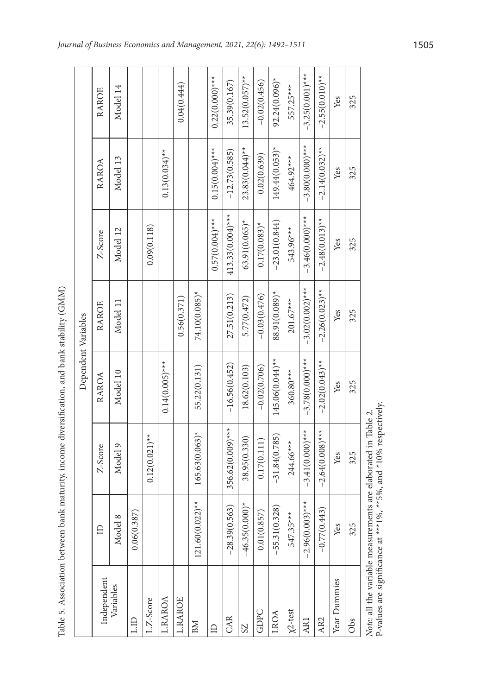| i<br>i<br>í<br>ľ<br>i<br>١                                                              |  |
|-----------------------------------------------------------------------------------------|--|
|                                                                                         |  |
| ֖֖֖֖֖֖ׅ֖ׅ֖֖֖ׅ֖ׅ֖֧ׅ֖֚֚֚֚֚֚֚֚֚֚֚֚֚֚֚֚֚֚֚֚֚֚֚֚֚֚֚֚֚֚֚֚֚֚֚֚֬֝֝֝֝                            |  |
|                                                                                         |  |
| ֖֖ׅׅ֖ׅ֧֧֖֖֧ׅ֧֧֪ׅ֖֧֧֪ׅ֖֧֧֚֚֚֚֚֚֚֚֚֚֚֚֚֚֚֚֚֚֚֚֚֚֚֚֚֚֚֚֚֚֚֚֚֚֚֚֚֬֡֡֡֡֡֓֡֡֡֬֝֝֬֝֬֝֬֝֬֞֝֬֝֬֝ |  |
|                                                                                         |  |
|                                                                                         |  |
|                                                                                         |  |
|                                                                                         |  |
|                                                                                         |  |
|                                                                                         |  |
| Ï<br>1<br>١<br>i                                                                        |  |
| ì                                                                                       |  |

r.

|                           |                                     |                                                                                                                                    | Dependent Variables |                   |                     |                   |                    |
|---------------------------|-------------------------------------|------------------------------------------------------------------------------------------------------------------------------------|---------------------|-------------------|---------------------|-------------------|--------------------|
| Independent               |                                     | Z-Score                                                                                                                            | RAROA               | RAROE             | Z-Score             | RAROA             | RAROE              |
| Variables                 | Model 8                             | Model 9                                                                                                                            | Model 10            | Model 11          | Model 12            | Model 13          | Model 14           |
| LID                       | 0.387)<br>0.06(                     |                                                                                                                                    |                     |                   |                     |                   |                    |
| L.Z-Score                 |                                     | $0.12(0.021)$ **                                                                                                                   |                     |                   | 0.09(0.118)         |                   |                    |
| L.RAROA                   |                                     |                                                                                                                                    | $0.14(0.005)$ ***   |                   |                     | $0.13(0.034)$ **  |                    |
| <b>L.RAROE</b>            |                                     |                                                                                                                                    |                     | 0.56(0.371)       |                     |                   | 0.04(0.444)        |
| BM                        | $121.60(0.022)$ **                  | $165.63(0.063)^*$                                                                                                                  | 55.22(0.131)        | 74.10(0.085)*     |                     |                   |                    |
| ≘                         |                                     |                                                                                                                                    |                     |                   | $0.57(0.004)$ ***   | $0.15(0.004)$ *** | $0.22(0.000)***$   |
| CAR                       | $-28.39(0.563)$                     | 356.62(0.009)***                                                                                                                   | $-16.56(0.452)$     | 27.51(0.213)      | $413.33(0.004)$ *** | $-12.73(0.585)$   | 35.39(0.167)       |
| S <sub>Z</sub>            | $(0.000)^*$<br>$-46.35$             | 38.95(0.330)                                                                                                                       | 18.62(0.103)        | 5.77(0.472)       | $63.91(0.065)$ *    | $23.83(0.044)$ ** | $13.52(0.057)$ **  |
| GDPC                      | 0.857)<br>0.01(                     | 0.17(0.111)                                                                                                                        | $-0.02(0.706)$      | $-0.03(0.476)$    | $0.17(0.083)^*$     | 0.02(0.639)       | $-0.02(0.456)$     |
| LROA                      | (0.328)<br>$-55.31$                 | $-31.84(0.785)$                                                                                                                    | $145.06(0.044)$ **  | 88.91(0.089)*     | $-23.01(0.844)$     | $149.44(0.053)^*$ | $92.24(0.096)^*$   |
| $\chi$ <sup>2</sup> -test | $35***$<br>547.3                    | 244.66***                                                                                                                          | $360.80***$         | $201.67***$       | 543.96***           | 464.92***         | 557.25***          |
| <b>AR1</b>                | $.003$ <sup>***</sup><br>$-2.96(0)$ | $-3.41(0.000)*$                                                                                                                    | $-3.78(0.000)*$ **  | $-3.02(0.002)***$ | $-3.46(0.000)*$     | $-3.80(0.000)***$ | $-3.25(0.001)$ *** |
| AR <sub>2</sub>           | (0.443)<br>$-0.77$                  | $-2.64(0.008)$ ***                                                                                                                 | $-2.02(0.043)$ **   | $-2.26(0.023)$ ** | $-2.48(0.013)$ **   | $-2.14(0.032)$ ** | $-2.55(0.010)$ **  |
| Year Dummies              | Yes                                 | Yes                                                                                                                                | Yes                 | Yes               | Yes                 | Yes               | Yes                |
| Obs                       | 325                                 | 325                                                                                                                                | 325                 | 325               | 325                 | 325               | 325                |
|                           |                                     | P-values are significance at ***1%, **5%, and *10% respectively.<br>Note: all the variable measurements are elaborated in Table 2. |                     |                   |                     |                   |                    |

h

T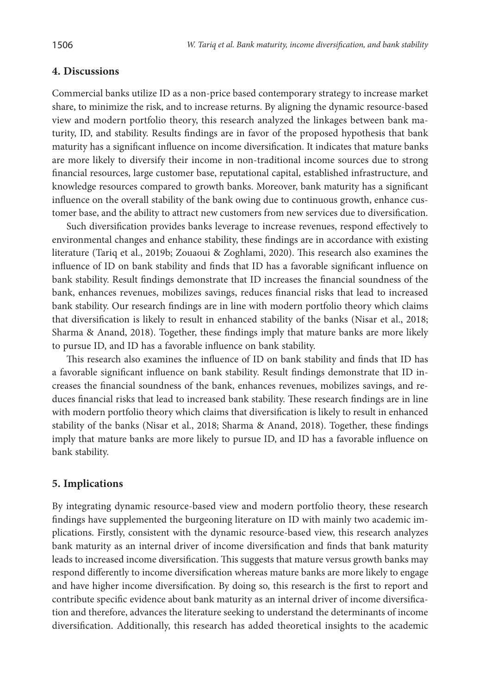### **4. Discussions**

Commercial banks utilize ID as a non-price based contemporary strategy to increase market share, to minimize the risk, and to increase returns. By aligning the dynamic resource-based view and modern portfolio theory, this research analyzed the linkages between bank maturity, ID, and stability. Results findings are in favor of the proposed hypothesis that bank maturity has a significant influence on income diversification. It indicates that mature banks are more likely to diversify their income in non-traditional income sources due to strong financial resources, large customer base, reputational capital, established infrastructure, and knowledge resources compared to growth banks. Moreover, bank maturity has a significant influence on the overall stability of the bank owing due to continuous growth, enhance customer base, and the ability to attract new customers from new services due to diversification.

Such diversification provides banks leverage to increase revenues, respond effectively to environmental changes and enhance stability, these findings are in accordance with existing literature (Tariq et al., 2019b; Zouaoui & Zoghlami, 2020). This research also examines the influence of ID on bank stability and finds that ID has a favorable significant influence on bank stability. Result findings demonstrate that ID increases the financial soundness of the bank, enhances revenues, mobilizes savings, reduces financial risks that lead to increased bank stability. Our research findings are in line with modern portfolio theory which claims that diversification is likely to result in enhanced stability of the banks (Nisar et al., 2018; Sharma & Anand, 2018). Together, these findings imply that mature banks are more likely to pursue ID, and ID has a favorable influence on bank stability.

This research also examines the influence of ID on bank stability and finds that ID has a favorable significant influence on bank stability. Result findings demonstrate that ID increases the financial soundness of the bank, enhances revenues, mobilizes savings, and reduces financial risks that lead to increased bank stability. These research findings are in line with modern portfolio theory which claims that diversification is likely to result in enhanced stability of the banks (Nisar et al., 2018; Sharma & Anand, 2018). Together, these findings imply that mature banks are more likely to pursue ID, and ID has a favorable influence on bank stability.

### **5. Implications**

By integrating dynamic resource-based view and modern portfolio theory, these research findings have supplemented the burgeoning literature on ID with mainly two academic implications. Firstly, consistent with the dynamic resource-based view, this research analyzes bank maturity as an internal driver of income diversification and finds that bank maturity leads to increased income diversification. This suggests that mature versus growth banks may respond differently to income diversification whereas mature banks are more likely to engage and have higher income diversification. By doing so, this research is the first to report and contribute specific evidence about bank maturity as an internal driver of income diversification and therefore, advances the literature seeking to understand the determinants of income diversification. Additionally, this research has added theoretical insights to the academic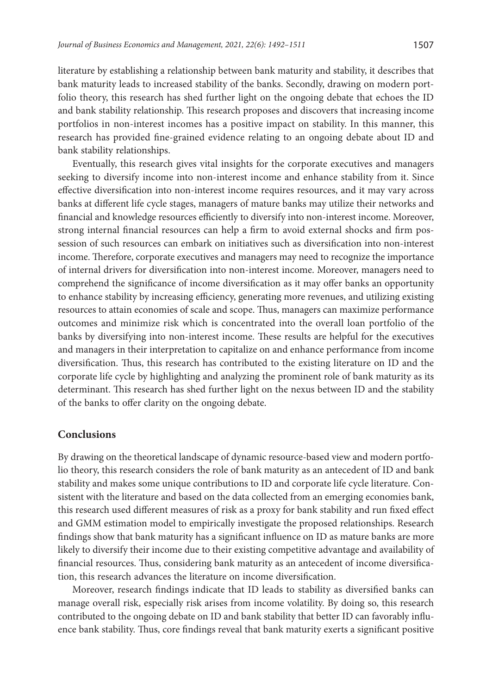literature by establishing a relationship between bank maturity and stability, it describes that bank maturity leads to increased stability of the banks. Secondly, drawing on modern portfolio theory, this research has shed further light on the ongoing debate that echoes the ID and bank stability relationship. This research proposes and discovers that increasing income portfolios in non-interest incomes has a positive impact on stability. In this manner, this research has provided fine-grained evidence relating to an ongoing debate about ID and bank stability relationships.

Eventually, this research gives vital insights for the corporate executives and managers seeking to diversify income into non-interest income and enhance stability from it. Since effective diversification into non-interest income requires resources, and it may vary across banks at different life cycle stages, managers of mature banks may utilize their networks and financial and knowledge resources efficiently to diversify into non-interest income. Moreover, strong internal financial resources can help a firm to avoid external shocks and firm possession of such resources can embark on initiatives such as diversification into non-interest income. Therefore, corporate executives and managers may need to recognize the importance of internal drivers for diversification into non-interest income. Moreover, managers need to comprehend the significance of income diversification as it may offer banks an opportunity to enhance stability by increasing efficiency, generating more revenues, and utilizing existing resources to attain economies of scale and scope. Thus, managers can maximize performance outcomes and minimize risk which is concentrated into the overall loan portfolio of the banks by diversifying into non-interest income. These results are helpful for the executives and managers in their interpretation to capitalize on and enhance performance from income diversification. Thus, this research has contributed to the existing literature on ID and the corporate life cycle by highlighting and analyzing the prominent role of bank maturity as its determinant. This research has shed further light on the nexus between ID and the stability of the banks to offer clarity on the ongoing debate.

#### **Conclusions**

By drawing on the theoretical landscape of dynamic resource-based view and modern portfolio theory, this research considers the role of bank maturity as an antecedent of ID and bank stability and makes some unique contributions to ID and corporate life cycle literature. Consistent with the literature and based on the data collected from an emerging economies bank, this research used different measures of risk as a proxy for bank stability and run fixed effect and GMM estimation model to empirically investigate the proposed relationships. Research findings show that bank maturity has a significant influence on ID as mature banks are more likely to diversify their income due to their existing competitive advantage and availability of financial resources. Thus, considering bank maturity as an antecedent of income diversification, this research advances the literature on income diversification.

Moreover, research findings indicate that ID leads to stability as diversified banks can manage overall risk, especially risk arises from income volatility. By doing so, this research contributed to the ongoing debate on ID and bank stability that better ID can favorably influence bank stability. Thus, core findings reveal that bank maturity exerts a significant positive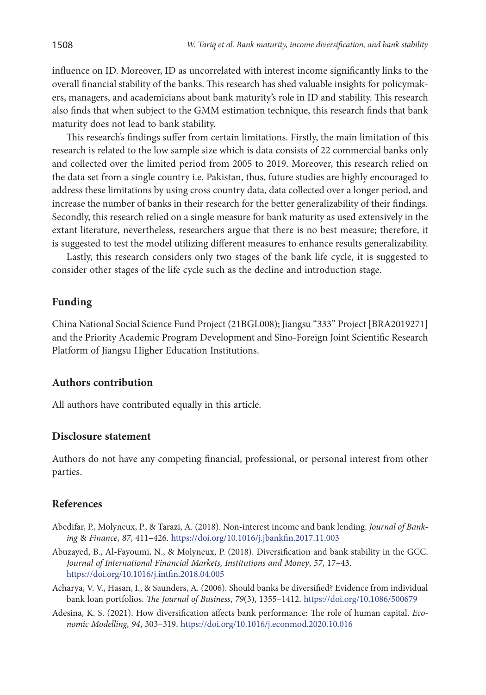influence on ID. Moreover, ID as uncorrelated with interest income significantly links to the overall financial stability of the banks. This research has shed valuable insights for policymakers, managers, and academicians about bank maturity's role in ID and stability. This research also finds that when subject to the GMM estimation technique, this research finds that bank maturity does not lead to bank stability.

This research's findings suffer from certain limitations. Firstly, the main limitation of this research is related to the low sample size which is data consists of 22 commercial banks only and collected over the limited period from 2005 to 2019. Moreover, this research relied on the data set from a single country i.e. Pakistan, thus, future studies are highly encouraged to address these limitations by using cross country data, data collected over a longer period, and increase the number of banks in their research for the better generalizability of their findings. Secondly, this research relied on a single measure for bank maturity as used extensively in the extant literature, nevertheless, researchers argue that there is no best measure; therefore, it is suggested to test the model utilizing different measures to enhance results generalizability.

Lastly, this research considers only two stages of the bank life cycle, it is suggested to consider other stages of the life cycle such as the decline and introduction stage.

### **Funding**

China National Social Science Fund Project (21BGL008); Jiangsu "333" Project [BRA2019271] and the Priority Academic Program Development and Sino-Foreign Joint Scientific Research Platform of Jiangsu Higher Education Institutions.

#### **Authors contribution**

All authors have contributed equally in this article.

#### **Disclosure statement**

Authors do not have any competing financial, professional, or personal interest from other parties.

#### **References**

- Abedifar, P., Molyneux, P., & Tarazi, A. (2018). Non-interest income and bank lending. *Journal of Banking* & *Finance*, *87*, 411–426. <https://doi.org/10.1016/j.jbankfin.2017.11.003>
- Abuzayed, B., Al-Fayoumi, N., & Molyneux, P. (2018). Diversification and bank stability in the GCC. *Journal of International Financial Markets, Institutions and Money*, *57*, 17–43. <https://doi.org/10.1016/j.intfin.2018.04.005>
- Acharya, V. V., Hasan, I., & Saunders, A. (2006). Should banks be diversified? Evidence from individual bank loan portfolios. *The Journal of Business*, *79*(3), 1355–1412. <https://doi.org/10.1086/500679>
- Adesina, K. S. (2021). How diversification affects bank performance: The role of human capital. *Economic Modelling*, *94*, 303–319. <https://doi.org/10.1016/j.econmod.2020.10.016>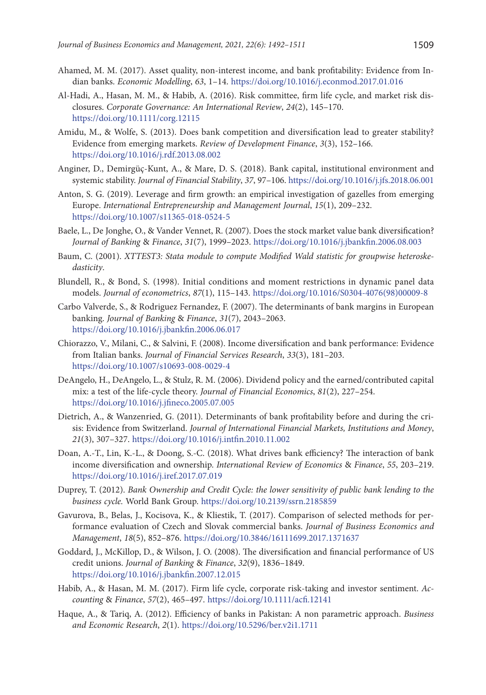- Ahamed, M. M. (2017). Asset quality, non-interest income, and bank profitability: Evidence from Indian banks. *Economic Modelling*, *63*, 1–14. <https://doi.org/10.1016/j.econmod.2017.01.016>
- Al‐Hadi, A., Hasan, M. M., & Habib, A. (2016). Risk committee, firm life cycle, and market risk disclosures. *Corporate Governance: An International Review*, *24*(2), 145–170. <https://doi.org/10.1111/corg.12115>
- Amidu, M., & Wolfe, S. (2013). Does bank competition and diversification lead to greater stability? Evidence from emerging markets. *Review of Development Finance*, *3*(3), 152–166. <https://doi.org/10.1016/j.rdf.2013.08.002>
- Anginer, D., Demirgüç-Kunt, A., & Mare, D. S. (2018). Bank capital, institutional environment and systemic stability. *Journal of Financial Stability*, *37*, 97–106. <https://doi.org/10.1016/j.jfs.2018.06.001>
- Anton, S. G. (2019). Leverage and firm growth: an empirical investigation of gazelles from emerging Europe. *International Entrepreneurship and Management Journal*, *15*(1), 209–232. <https://doi.org/10.1007/s11365-018-0524-5>
- Baele, L., De Jonghe, O., & Vander Vennet, R. (2007). Does the stock market value bank diversification? *Journal of Banking* & *Finance*, *31*(7), 1999–2023.<https://doi.org/10.1016/j.jbankfin.2006.08.003>
- Baum, C. (2001). *XTTEST3: Stata module to compute Modified Wald statistic for groupwise heteroskedasticity*.
- Blundell, R., & Bond, S. (1998). Initial conditions and moment restrictions in dynamic panel data models. *Journal of econometrics*, *87*(1), 115–143. [https://doi.org/10.1016/S0304-4076\(98\)00009-8](https://doi.org/10.1016/S0304-4076(98)00009-8)
- Carbo Valverde, S., & Rodriguez Fernandez, F. (2007). The determinants of bank margins in European banking. *Journal of Banking* & *Finance*, *31*(7), 2043–2063. <https://doi.org/10.1016/j.jbankfin.2006.06.017>
- Chiorazzo, V., Milani, C., & Salvini, F. (2008). Income diversification and bank performance: Evidence from Italian banks. *Journal of Financial Services Research*, *33*(3), 181–203. <https://doi.org/10.1007/s10693-008-0029-4>
- DeAngelo, H., DeAngelo, L., & Stulz, R. M. (2006). Dividend policy and the earned/contributed capital mix: a test of the life-cycle theory. *Journal of Financial Economics*, *81*(2), 227–254. <https://doi.org/10.1016/j.jfineco.2005.07.005>
- Dietrich, A., & Wanzenried, G. (2011). Determinants of bank profitability before and during the crisis: Evidence from Switzerland. *Journal of International Financial Markets, Institutions and Money*, *21*(3), 307–327. <https://doi.org/10.1016/j.intfin.2010.11.002>
- Doan, A.-T., Lin, K.-L., & Doong, S.-C. (2018). What drives bank efficiency? The interaction of bank income diversification and ownership. *International Review of Economics* & *Finance*, *55*, 203–219. <https://doi.org/10.1016/j.iref.2017.07.019>
- Duprey, T. (2012). *Bank Ownership and Credit Cycle: the lower sensitivity of public bank lending to the business cycle.* World Bank Group. <https://doi.org/10.2139/ssrn.2185859>
- Gavurova, B., Belas, J., Kocisova, K., & Kliestik, T. (2017). Comparison of selected methods for performance evaluation of Czech and Slovak commercial banks. *Journal of Business Economics and Management*, *18*(5), 852–876. <https://doi.org/10.3846/16111699.2017.1371637>
- Goddard, J., McKillop, D., & Wilson, J. O. (2008). The diversification and financial performance of US credit unions. *Journal of Banking* & *Finance*, *32*(9), 1836–1849. <https://doi.org/10.1016/j.jbankfin.2007.12.015>
- Habib, A., & Hasan, M. M. (2017). Firm life cycle, corporate risk‐taking and investor sentiment. *Accounting* & *Finance*, *57*(2), 465–497. <https://doi.org/10.1111/acfi.12141>
- Haque, A., & Tariq, A. (2012). Efficiency of banks in Pakistan: A non parametric approach. *Business and Economic Research*, *2*(1). <https://doi.org/10.5296/ber.v2i1.1711>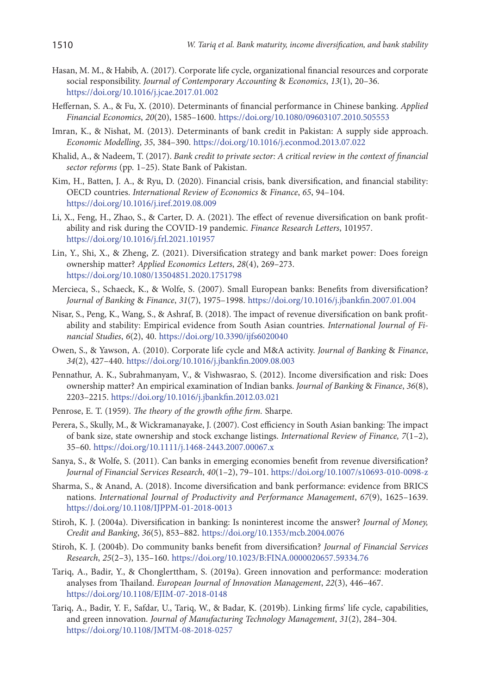- Hasan, M. M., & Habib, A. (2017). Corporate life cycle, organizational financial resources and corporate social responsibility. *Journal of Contemporary Accounting* & *Economics*, *13*(1), 20–36. <https://doi.org/10.1016/j.jcae.2017.01.002>
- Heffernan, S. A., & Fu, X. (2010). Determinants of financial performance in Chinese banking. *Applied Financial Economics*, *20*(20), 1585–1600. <https://doi.org/10.1080/09603107.2010.505553>
- Imran, K., & Nishat, M. (2013). Determinants of bank credit in Pakistan: A supply side approach. *Economic Modelling*, *35*, 384–390.<https://doi.org/10.1016/j.econmod.2013.07.022>
- Khalid, A., & Nadeem, T. (2017). *Bank credit to private sector: A critical review in the context of financial sector reforms* (pp. 1–25). State Bank of Pakistan.
- Kim, H., Batten, J. A., & Ryu, D. (2020). Financial crisis, bank diversification, and financial stability: OECD countries. *International Review of Economics* & *Finance*, *65*, 94–104. <https://doi.org/10.1016/j.iref.2019.08.009>
- Li, X., Feng, H., Zhao, S., & Carter, D. A. (2021). The effect of revenue diversification on bank profitability and risk during the COVID-19 pandemic. *Finance Research Letters*, 101957. <https://doi.org/10.1016/j.frl.2021.101957>
- Lin, Y., Shi, X., & Zheng, Z. (2021). Diversification strategy and bank market power: Does foreign ownership matter? *Applied Economics Letters*, *28*(4), 269–273. <https://doi.org/10.1080/13504851.2020.1751798>
- Mercieca, S., Schaeck, K., & Wolfe, S. (2007). Small European banks: Benefits from diversification? *Journal of Banking* & *Finance*, *31*(7), 1975–1998. <https://doi.org/10.1016/j.jbankfin.2007.01.004>
- Nisar, S., Peng, K., Wang, S., & Ashraf, B. (2018). The impact of revenue diversification on bank profitability and stability: Empirical evidence from South Asian countries. *International Journal of Financial Studies*, *6*(2), 40. <https://doi.org/10.3390/ijfs6020040>
- Owen, S., & Yawson, A. (2010). Corporate life cycle and M&A activity. *Journal of Banking* & *Finance*, *34*(2), 427–440. <https://doi.org/10.1016/j.jbankfin.2009.08.003>
- Pennathur, A. K., Subrahmanyam, V., & Vishwasrao, S. (2012). Income diversification and risk: Does ownership matter? An empirical examination of Indian banks. *Journal of Banking* & *Finance*, *36*(8), 2203–2215. <https://doi.org/10.1016/j.jbankfin.2012.03.021>
- Penrose, E. T. (1959). *The theory of the growth ofthe firm.* Sharpe.
- Perera, S., Skully, M., & Wickramanayake, J. (2007). Cost efficiency in South Asian banking: The impact of bank size, state ownership and stock exchange listings. *International Review of Finance, 7*(1–2), 35–60. <https://doi.org/10.1111/j.1468-2443.2007.00067.x>
- Sanya, S., & Wolfe, S. (2011). Can banks in emerging economies benefit from revenue diversification? *Journal of Financial Services Research*, *40*(1–2), 79–101.<https://doi.org/10.1007/s10693-010-0098-z>
- Sharma, S., & Anand, A. (2018). Income diversification and bank performance: evidence from BRICS nations. *International Journal of Productivity and Performance Management*, *67*(9), 1625–1639. <https://doi.org/10.1108/IJPPM-01-2018-0013>
- Stiroh, K. J. (2004a). Diversification in banking: Is noninterest income the answer? *Journal of Money, Credit and Banking*, *36*(5), 853–882. <https://doi.org/10.1353/mcb.2004.0076>
- Stiroh, K. J. (2004b). Do community banks benefit from diversification? *Journal of Financial Services Research*, *25*(2–3), 135–160. <https://doi.org/10.1023/B:FINA.0000020657.59334.76>
- Tariq, A., Badir, Y., & Chonglerttham, S. (2019a). Green innovation and performance: moderation analyses from Thailand. *European Journal of Innovation Management*, *22*(3), 446–467. <https://doi.org/10.1108/EJIM-07-2018-0148>
- Tariq, A., Badir, Y. F., Safdar, U., Tariq, W., & Badar, K. (2019b). Linking firms' life cycle, capabilities, and green innovation. *Journal of Manufacturing Technology Management*, *31*(2), 284–304. <https://doi.org/10.1108/JMTM-08-2018-0257>